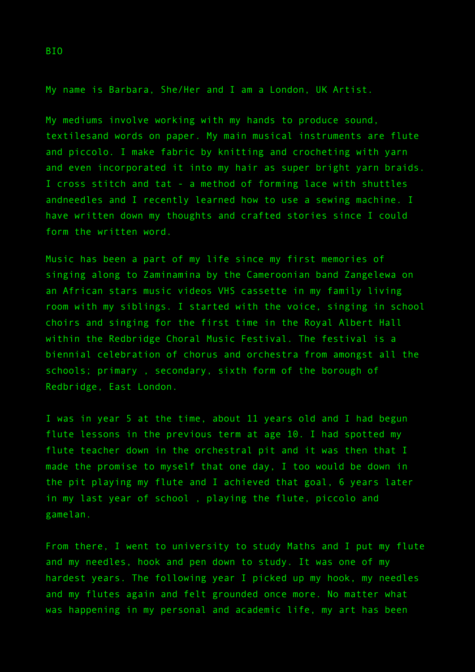My name is Barbara, She/Her and I am a London, UK Artist.

My mediums involve working with my hands to produce sound, textilesand words on paper. My main musical instruments are flute and piccolo. I make fabric by knitting and crocheting with yarn and even incorporated it into my hair as super bright yarn braids. I cross stitch and tat - a method of forming lace with shuttles andneedles and I recently learned how to use a sewing machine. I have written down my thoughts and crafted stories since I could form the written word.

Music has been a part of my life since my first memories of singing along to Zaminamina by the Cameroonian band Zangelewa on an African stars music videos VHS cassette in my family living room with my siblings. I started with the voice, singing in school choirs and singing for the first time in the Royal Albert Hall within the Redbridge Choral Music Festival. The festival is a biennial celebration of chorus and orchestra from amongst all the schools; primary , secondary, sixth form of the borough of Redbridge, East London.

I was in year 5 at the time, about 11 years old and I had begun flute lessons in the previous term at age 10. I had spotted my flute teacher down in the orchestral pit and it was then that I made the promise to myself that one day, I too would be down in the pit playing my flute and I achieved that goal, 6 years later in my last year of school , playing the flute, piccolo and gamelan.

From there, I went to university to study Maths and I put my flute and my needles, hook and pen down to study. It was one of my hardest years. The following year I picked up my hook, my needles and my flutes again and felt grounded once more. No matter what was happening in my personal and academic life, my art has been

BIO